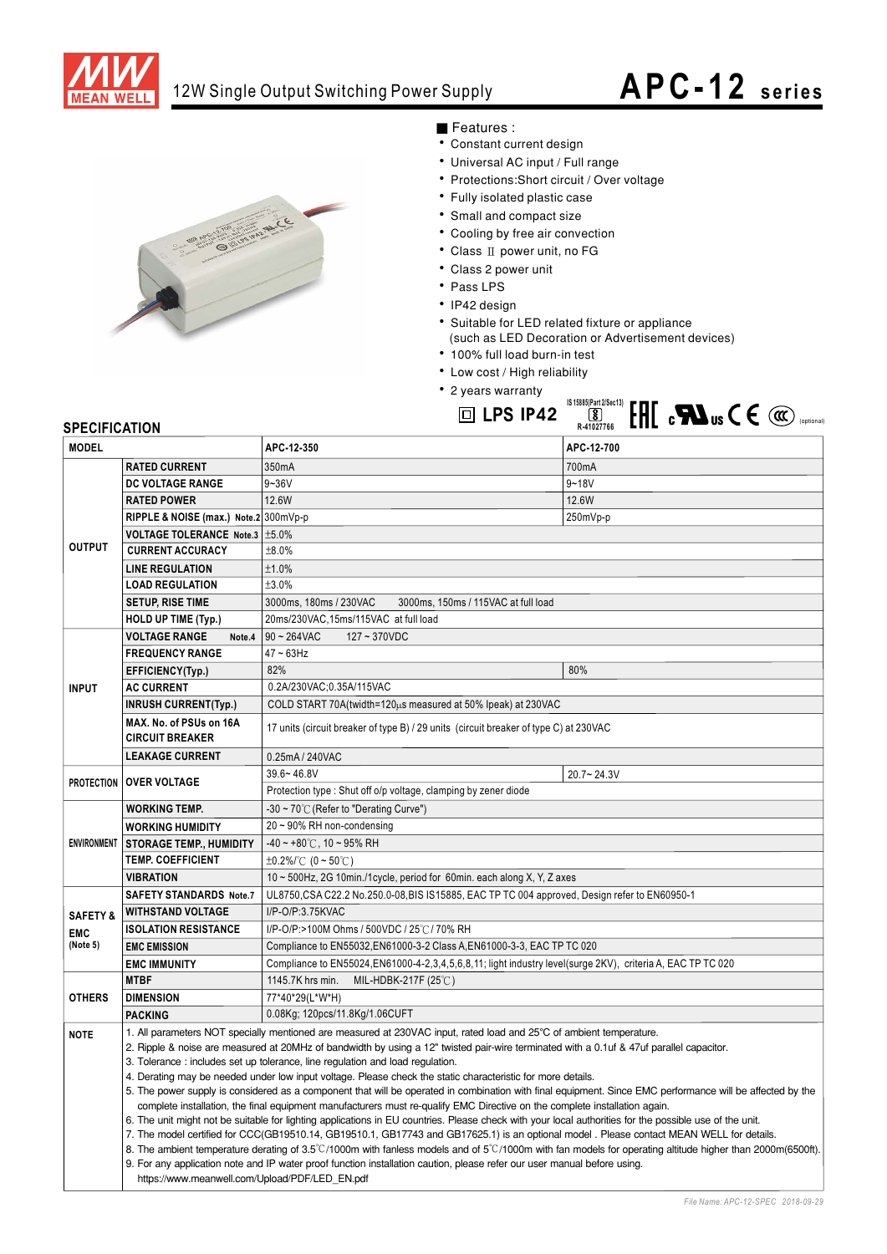

## 12W Single Output Switching Power Supply

## **APC-12 series**

 $\ddot{\phantom{0}}$ 



- Features :
- Constant cu<br>• Liniversal A
- Constant current design<br>• Universal AC input / Full range
- $\frac{1}{1}$ ... • Universal AC input / Full range<br>• Protections:Short circuit / Over voltage<br>• Fully isolated plastic case
- Fully isolated plastic case
- Small and compact size
- Cooling by free air conv
- Cooling by tree air convection<br>■ Class II power unit, no FG<br>■ Class 2 power unit
- Class 2 power in<br>1
- · Pass LPS
- $\cdot$  IP42 design
- IP42 design<br>• Suitable for LED related fixture or appliance<br>(aush on LED Descration on Advertisement) LED Decoration or Advertisement of

لاگ<br>R-41027766

- $\cdot$  100% full load burn-in test
- Low cost / High reliability
- Low cost / High re<br>• 2 years warranty **IS 15885(Part 2/Sec13) ID LPS IP42**

| <b>SPECIFICATION</b>                          |                                                                                                                                                                                                                                                                                         | ыны<br>. <b>.</b><br>טט כ<br>R-41027766                                                                                                                 |                                   |  |
|-----------------------------------------------|-----------------------------------------------------------------------------------------------------------------------------------------------------------------------------------------------------------------------------------------------------------------------------------------|---------------------------------------------------------------------------------------------------------------------------------------------------------|-----------------------------------|--|
| <b>MODEL</b>                                  |                                                                                                                                                                                                                                                                                         | APC-12-350                                                                                                                                              | APC-12-700                        |  |
| <b>OUTPUT</b>                                 | <b>RATED CURRENT</b>                                                                                                                                                                                                                                                                    | 350mA                                                                                                                                                   | 700mA                             |  |
|                                               | <b>DC VOLTAGE RANGE</b>                                                                                                                                                                                                                                                                 | $9 - 36V$                                                                                                                                               | $9 - 18V$                         |  |
|                                               | <b>RATED POWER</b>                                                                                                                                                                                                                                                                      | 12.6W                                                                                                                                                   | 12.6W                             |  |
|                                               | RIPPLE & NOISE (max.) Note.2 300mVp-p                                                                                                                                                                                                                                                   |                                                                                                                                                         | 250mVp-p                          |  |
|                                               | VOLTAGE TOLERANCE Note.3   ±5.0%                                                                                                                                                                                                                                                        |                                                                                                                                                         |                                   |  |
|                                               | <b>CURRENT ACCURACY</b>                                                                                                                                                                                                                                                                 | ±8.0%                                                                                                                                                   |                                   |  |
|                                               | <b>LINE REGULATION</b>                                                                                                                                                                                                                                                                  | ±1.0%                                                                                                                                                   |                                   |  |
|                                               | <b>LOAD REGULATION</b>                                                                                                                                                                                                                                                                  | ±3.0%                                                                                                                                                   |                                   |  |
|                                               | <b>SETUP, RISE TIME</b>                                                                                                                                                                                                                                                                 | 3000ms, 180ms / 230VAC<br>3000ms, 150ms / 115VAC at full load                                                                                           |                                   |  |
|                                               | HOLD UP TIME (Typ.)                                                                                                                                                                                                                                                                     | 20ms/230VAC,15ms/115VAC at full load                                                                                                                    |                                   |  |
|                                               | <b>VOLTAGE RANGE</b><br>Note.4                                                                                                                                                                                                                                                          | $90 - 264$ VAC<br>127~370VDC                                                                                                                            |                                   |  |
| <b>INPUT</b>                                  | <b>FREQUENCY RANGE</b>                                                                                                                                                                                                                                                                  | 47~63Hz                                                                                                                                                 |                                   |  |
|                                               | EFFICIENCY(Typ.)                                                                                                                                                                                                                                                                        | 82%                                                                                                                                                     | 80%                               |  |
|                                               | <b>AC CURRENT</b>                                                                                                                                                                                                                                                                       | 0.2A/230VAC;0.35A/115VAC                                                                                                                                |                                   |  |
|                                               | <b>INRUSH CURRENT(Typ.)</b>                                                                                                                                                                                                                                                             | COLD START 70A (twidth=120us measured at 50% Ipeak) at 230VAC                                                                                           |                                   |  |
|                                               | MAX. No. of PSUs on 16A<br><b>CIRCUIT BREAKER</b>                                                                                                                                                                                                                                       | 17 units (circuit breaker of type B) / 29 units (circuit breaker of type C) at 230VAC                                                                   |                                   |  |
|                                               | <b>LEAKAGE CURRENT</b><br>0.25mA / 240VAC                                                                                                                                                                                                                                               |                                                                                                                                                         |                                   |  |
|                                               | <b>PROTECTION OVER VOLTAGE</b>                                                                                                                                                                                                                                                          | $39.6 - 46.8V$                                                                                                                                          | $20.7 - 24.3V$                    |  |
|                                               |                                                                                                                                                                                                                                                                                         | Protection type: Shut off o/p voltage, clamping by zener diode                                                                                          |                                   |  |
| <b>ENVIRONMENT</b>                            | <b>WORKING TEMP.</b>                                                                                                                                                                                                                                                                    | -30 ~ 70 $\degree$ C (Refer to "Derating Curve")                                                                                                        |                                   |  |
|                                               | <b>WORKING HUMIDITY</b>                                                                                                                                                                                                                                                                 | 20 ~ 90% RH non-condensing                                                                                                                              |                                   |  |
|                                               | <b>STORAGE TEMP., HUMIDITY</b>                                                                                                                                                                                                                                                          | $-40 \sim +80^{\circ}$ C, 10 ~ 95% RH                                                                                                                   |                                   |  |
|                                               | <b>TEMP. COEFFICIENT</b>                                                                                                                                                                                                                                                                | $\pm 0.2\%$ (0 ~ 50°C)                                                                                                                                  |                                   |  |
|                                               | <b>VIBRATION</b>                                                                                                                                                                                                                                                                        | 10 $\sim$ 500Hz, 2G 10min./1 cycle, period for 60min. each along X, Y, Z axes                                                                           |                                   |  |
| <b>SAFETY &amp;</b><br><b>EMC</b><br>(Note 5) | <b>SAFETY STANDARDS Note.7</b>                                                                                                                                                                                                                                                          | UL8750, CSA C22.2 No.250.0-08, BIS IS15885, EAC TP TC 004 approved, Design refer to EN60950-1                                                           |                                   |  |
|                                               | <b>WITHSTAND VOLTAGE</b>                                                                                                                                                                                                                                                                | I/P-O/P:3.75KVAC                                                                                                                                        |                                   |  |
|                                               | <b>ISOLATION RESISTANCE</b>                                                                                                                                                                                                                                                             | I/P-O/P:>100M Ohms / 500VDC / 25℃/ 70% RH                                                                                                               |                                   |  |
|                                               | <b>EMC EMISSION</b>                                                                                                                                                                                                                                                                     | Compliance to EN55032, EN61000-3-2 Class A, EN61000-3-3, EAC TP TC 020                                                                                  |                                   |  |
|                                               | <b>EMC IMMUNITY</b>                                                                                                                                                                                                                                                                     | Compliance to EN55024, EN61000-4-2, 3, 4, 5, 6, 8, 11; light industry level (surge 2KV), criteria A, EAC TP TC 020                                      |                                   |  |
| <b>OTHERS</b>                                 | <b>MTBF</b>                                                                                                                                                                                                                                                                             | MIL-HDBK-217F (25℃)<br>1145.7K hrs min.                                                                                                                 |                                   |  |
|                                               | <b>DIMENSION</b>                                                                                                                                                                                                                                                                        | 77*40*29(L*W*H)                                                                                                                                         |                                   |  |
|                                               | <b>PACKING</b>                                                                                                                                                                                                                                                                          | 0.08Kg; 120pcs/11.8Kg/1.06CUFT                                                                                                                          |                                   |  |
| <b>NOTE</b>                                   | 1. All parameters NOT specially mentioned are measured at 230VAC input, rated load and 25°C of ambient temperature.                                                                                                                                                                     |                                                                                                                                                         |                                   |  |
|                                               | 2. Ripple & noise are measured at 20MHz of bandwidth by using a 12" twisted pair-wire terminated with a 0.1uf & 47uf parallel capacitor.                                                                                                                                                |                                                                                                                                                         |                                   |  |
|                                               | 3. Tolerance: includes set up tolerance, line regulation and load regulation.                                                                                                                                                                                                           |                                                                                                                                                         |                                   |  |
|                                               | 4. Derating may be needed under low input voltage. Please check the static characteristic for more details.                                                                                                                                                                             |                                                                                                                                                         |                                   |  |
|                                               | 5. The power supply is considered as a component that will be operated in combination with final equipment. Since EMC performance will be affected by the<br>complete installation, the final equipment manufacturers must re-qualify EMC Directive on the complete installation again. |                                                                                                                                                         |                                   |  |
|                                               |                                                                                                                                                                                                                                                                                         | 6. The unit might not be suitable for lighting applications in EU countries. Please check with your local authorities for the possible use of the unit. |                                   |  |
|                                               | 7. The model certified for CCC(GB19510.14, GB19510.1, GB17743 and GB17625.1) is an optional model . Please contact MEAN WELL for details.                                                                                                                                               |                                                                                                                                                         |                                   |  |
|                                               | 8. The ambient temperature derating of 3.5°C/1000m with fanless models and of 5°C/1000m with fan models for operating altitude higher than 2000m(6500ft).                                                                                                                               |                                                                                                                                                         |                                   |  |
|                                               | 9. For any application note and IP water proof function installation caution, please refer our user manual before using.                                                                                                                                                                |                                                                                                                                                         |                                   |  |
|                                               | https://www.meanwell.com/Upload/PDF/LED EN.pdf                                                                                                                                                                                                                                          |                                                                                                                                                         |                                   |  |
|                                               |                                                                                                                                                                                                                                                                                         |                                                                                                                                                         | File Name: APC-12-SPEC 2018-09-29 |  |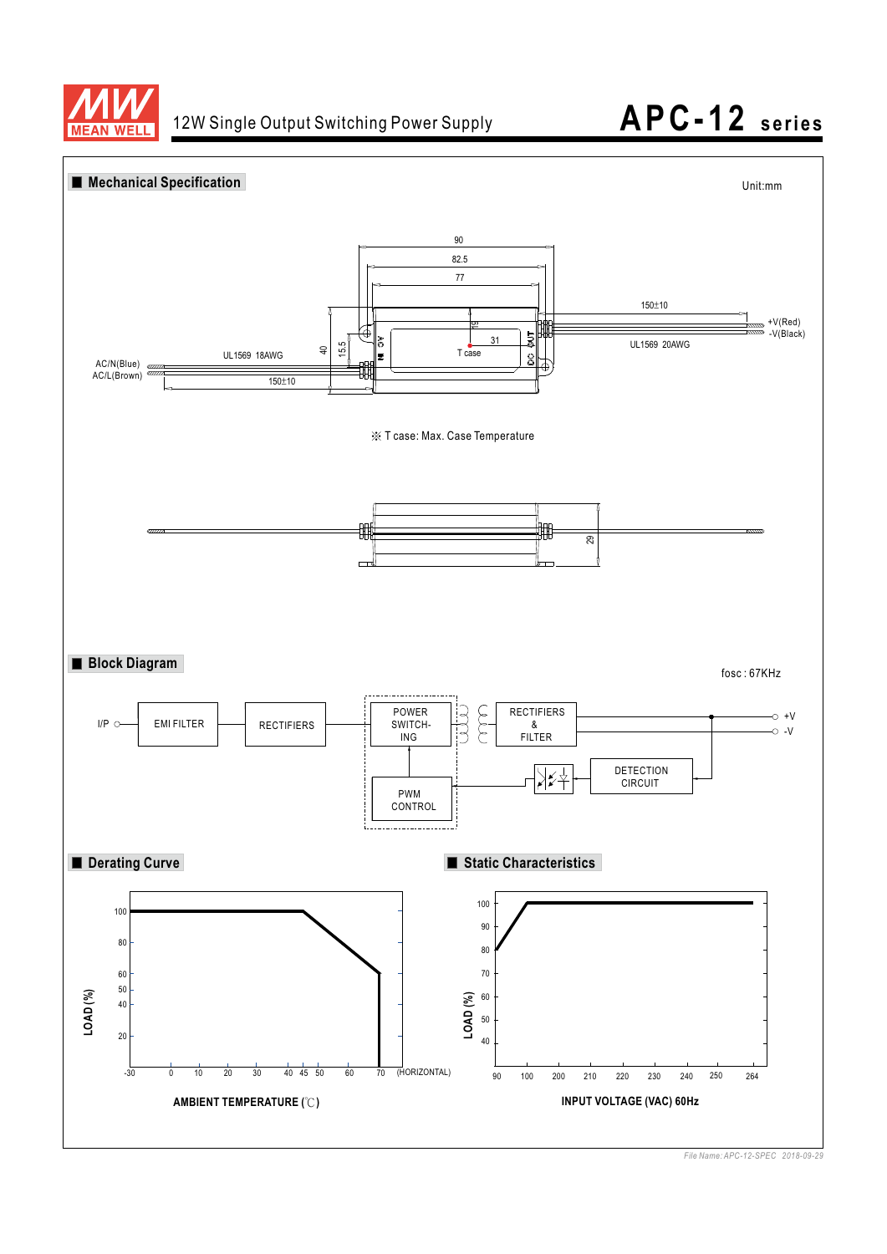



*File Name: APC-12-SPEC 2018-09-29*